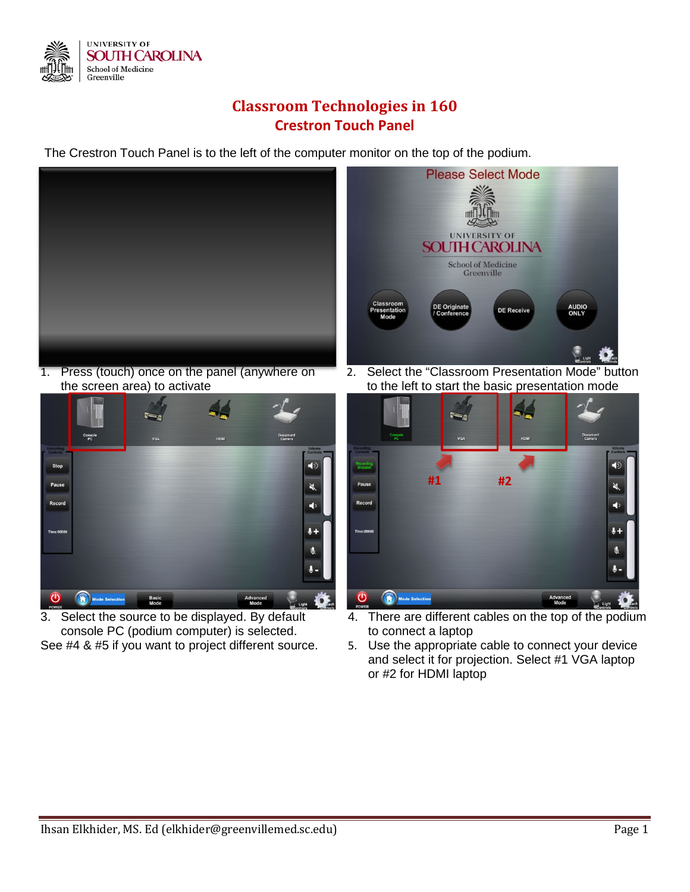

## **Classroom Technologies in 160 Crestron Touch Panel**

The Crestron Touch Panel is to the left of the computer monitor on the top of the podium.



1. Press (touch) once on the panel (anywhere on the screen area) to activate



3. Select the source to be displayed. By default console PC (podium computer) is selected. See #4 & #5 if you want to project different source.



2. Select the "Classroom Presentation Mode" button to the left to start the basic presentation mode



- 4. There are different cables on the top of the podium to connect a laptop
- 5. Use the appropriate cable to connect your device and select it for projection. Select #1 VGA laptop or #2 for HDMI laptop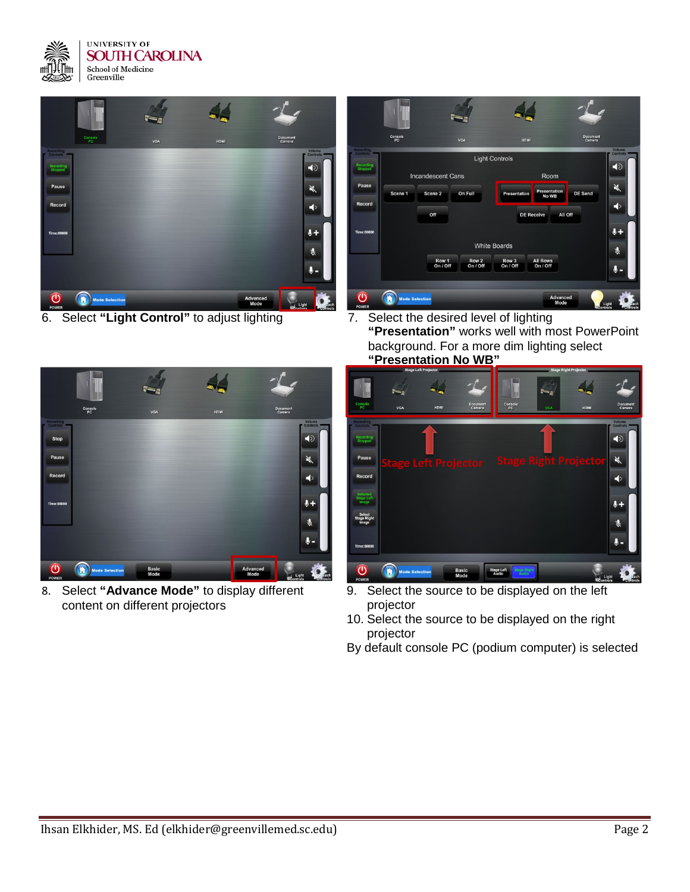



6. Select **"Light Control"** to adjust lighting 7. Select the desired level of lighting



**"Presentation"** works well with most PowerPoint background. For a more dim lighting select **"Presentation No WB"**



8. Select **"Advance Mode"** to display different content on different projectors



- 9. Select the source to be displayed on the left projector
- 10. Select the source to be displayed on the right projector
- By default console PC (podium computer) is selected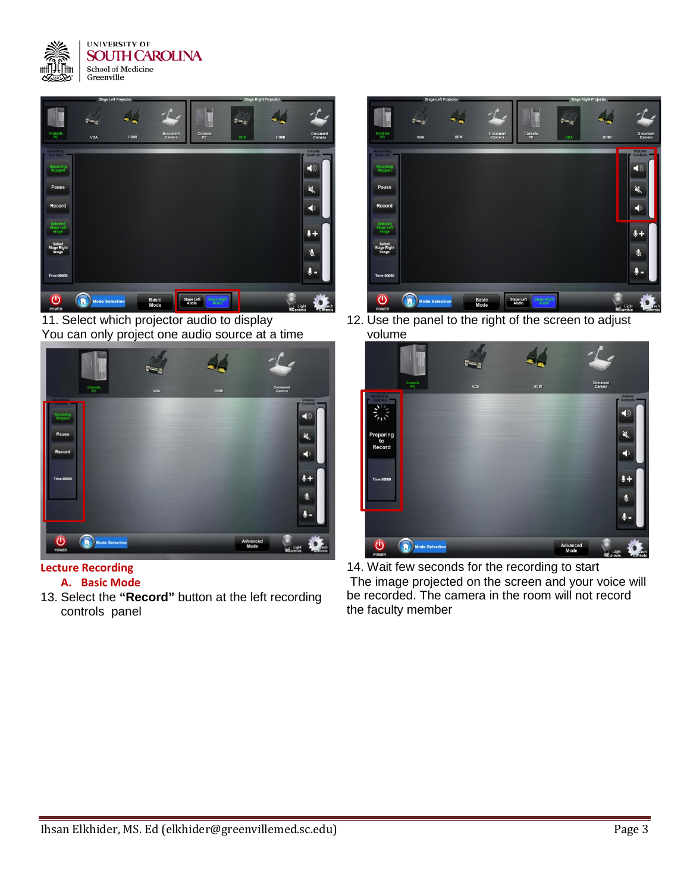



11. Select which projector audio to display You can only project one audio source at a time



## **Lecture Recording**

- **A. Basic Mode**
- 13. Select the **"Record"** button at the left recording controls panel



12. Use the panel to the right of the screen to adjust volume



14. Wait few seconds for the recording to start The image projected on the screen and your voice will be recorded. The camera in the room will not record the faculty member